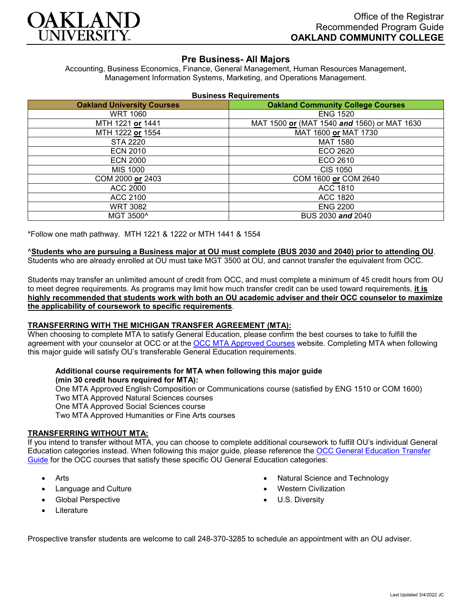

# **Pre Business- All Majors**

Accounting, Business Economics, Finance, General Management, Human Resources Management, Management Information Systems, Marketing, and Operations Management.

| <b>Business Requirements</b> |  |  |  |
|------------------------------|--|--|--|
|------------------------------|--|--|--|

| <b>Oakland University Courses</b> | <b>Oakland Community College Courses</b>    |  |
|-----------------------------------|---------------------------------------------|--|
| <b>WRT 1060</b>                   | <b>ENG 1520</b>                             |  |
| MTH 1221 or 1441                  | MAT 1500 or (MAT 1540 and 1560) or MAT 1630 |  |
| MTH 1222 or 1554                  | MAT 1600 or MAT 1730                        |  |
| <b>STA 2220</b>                   | <b>MAT 1580</b>                             |  |
| <b>ECN 2010</b>                   | ECO 2620                                    |  |
| <b>ECN 2000</b>                   | ECO 2610                                    |  |
| MIS 1000                          | <b>CIS 1050</b>                             |  |
| COM 2000 or 2403                  | COM 1600 or COM 2640                        |  |
| <b>ACC 2000</b>                   | ACC 1810                                    |  |
| ACC 2100                          | ACC 1820                                    |  |
| <b>WRT 3082</b>                   | <b>ENG 2200</b>                             |  |
| MGT 3500^                         | BUS 2030 and 2040                           |  |

\*Follow one math pathway. MTH 1221 & 1222 or MTH 1441 & 1554

### ^**Students who are pursuing a Business major at OU must complete (BUS 2030 and 2040) prior to attending OU**.

Students who are already enrolled at OU must take MGT 3500 at OU, and cannot transfer the equivalent from OCC.

Students may transfer an unlimited amount of credit from OCC, and must complete a minimum of 45 credit hours from OU to meet degree requirements. As programs may limit how much transfer credit can be used toward requirements, **it is highly recommended that students work with both an OU academic adviser and their OCC counselor to maximize the applicability of coursework to specific requirements**.

### **TRANSFERRING WITH THE MICHIGAN TRANSFER AGREEMENT (MTA):**

When choosing to complete MTA to satisfy General Education, please confirm the best courses to take to fulfill the agreement with your counselor at OCC or at the **OCC MTA Approved Courses** website. Completing MTA when following this major guide will satisfy OU's transferable General Education requirements.

## **Additional course requirements for MTA when following this major guide (min 30 credit hours required for MTA):**

One MTA Approved English Composition or Communications course (satisfied by ENG 1510 or COM 1600) Two MTA Approved Natural Sciences courses One MTA Approved Social Sciences course Two MTA Approved Humanities or Fine Arts courses

### **TRANSFERRING WITHOUT MTA:**

If you intend to transfer without MTA, you can choose to complete additional coursework to fulfill OU's individual General Education categories instead. When following this major guide, please reference the [OCC General Education Transfer](https://www.oakland.edu/Assets/Oakland/program-guides/oakland-community-college/university-general-education-requirements/OCC%20Gen%20Ed.pdf)  [Guide](https://www.oakland.edu/Assets/Oakland/program-guides/oakland-community-college/university-general-education-requirements/OCC%20Gen%20Ed.pdf) for the OCC courses that satisfy these specific OU General Education categories:

- **Arts**
- Language and Culture
- Global Perspective
- **Literature**
- Natural Science and Technology
- Western Civilization
- U.S. Diversity

Prospective transfer students are welcome to call 248-370-3285 to schedule an appointment with an OU adviser.